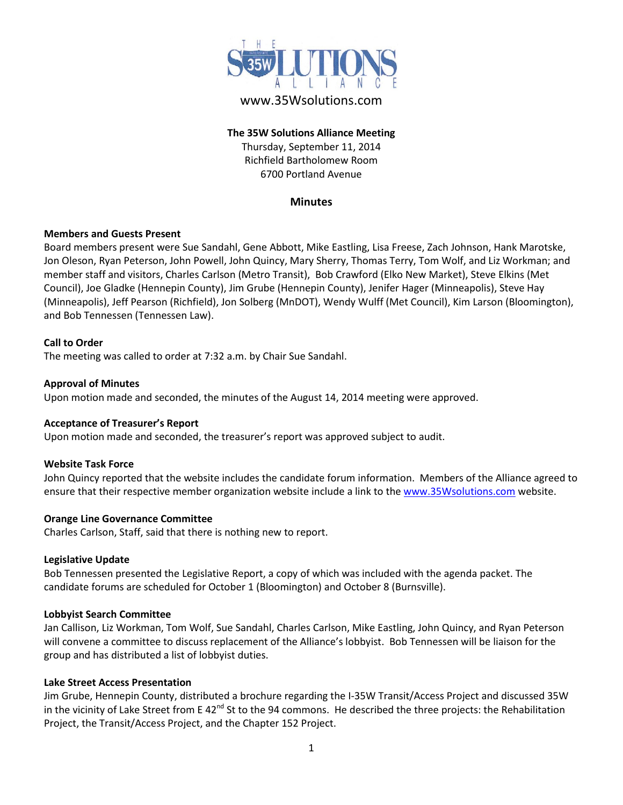

# www.35Wsolutions.com

## **The 35W Solutions Alliance Meeting** Thursday, September 11, 2014 Richfield Bartholomew Room 6700 Portland Avenue

### **Minutes**

### **Members and Guests Present**

Board members present were Sue Sandahl, Gene Abbott, Mike Eastling, Lisa Freese, Zach Johnson, Hank Marotske, Jon Oleson, Ryan Peterson, John Powell, John Quincy, Mary Sherry, Thomas Terry, Tom Wolf, and Liz Workman; and member staff and visitors, Charles Carlson (Metro Transit), Bob Crawford (Elko New Market), Steve Elkins (Met Council), Joe Gladke (Hennepin County), Jim Grube (Hennepin County), Jenifer Hager (Minneapolis), Steve Hay (Minneapolis), Jeff Pearson (Richfield), Jon Solberg (MnDOT), Wendy Wulff (Met Council), Kim Larson (Bloomington), and Bob Tennessen (Tennessen Law).

### **Call to Order**

The meeting was called to order at 7:32 a.m. by Chair Sue Sandahl.

### **Approval of Minutes**

Upon motion made and seconded, the minutes of the August 14, 2014 meeting were approved.

#### **Acceptance of Treasurer's Report**

Upon motion made and seconded, the treasurer's report was approved subject to audit.

#### **Website Task Force**

John Quincy reported that the website includes the candidate forum information. Members of the Alliance agreed to ensure that their respective member organization website include a link to th[e www.35Wsolutions.com](http://www.35wsolutions.com/) website.

#### **Orange Line Governance Committee**

Charles Carlson, Staff, said that there is nothing new to report.

### **Legislative Update**

Bob Tennessen presented the Legislative Report, a copy of which was included with the agenda packet. The candidate forums are scheduled for October 1 (Bloomington) and October 8 (Burnsville).

#### **Lobbyist Search Committee**

Jan Callison, Liz Workman, Tom Wolf, Sue Sandahl, Charles Carlson, Mike Eastling, John Quincy, and Ryan Peterson will convene a committee to discuss replacement of the Alliance's lobbyist. Bob Tennessen will be liaison for the group and has distributed a list of lobbyist duties.

#### **Lake Street Access Presentation**

Jim Grube, Hennepin County, distributed a brochure regarding the I-35W Transit/Access Project and discussed 35W in the vicinity of Lake Street from E 42<sup>nd</sup> St to the 94 commons. He described the three projects: the Rehabilitation Project, the Transit/Access Project, and the Chapter 152 Project.